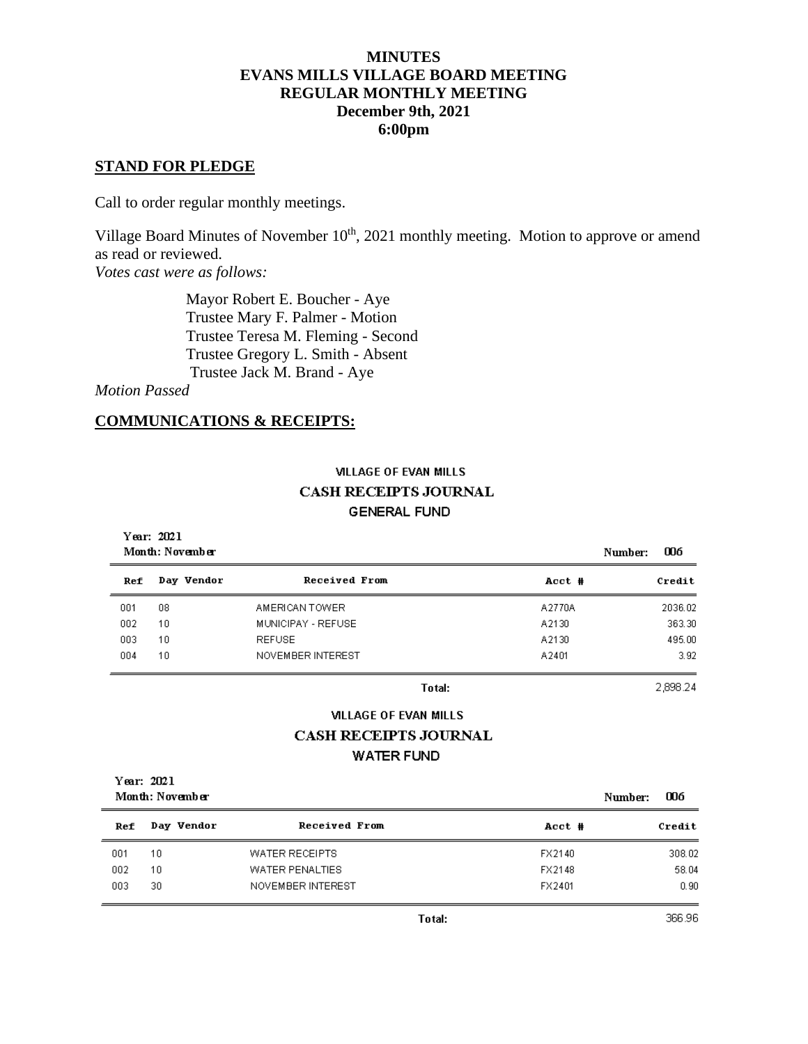## **MINUTES EVANS MILLS VILLAGE BOARD MEETING REGULAR MONTHLY MEETING December 9th, 2021 6:00pm**

#### **STAND FOR PLEDGE**

Call to order regular monthly meetings.

Village Board Minutes of November  $10<sup>th</sup>$ , 2021 monthly meeting. Motion to approve or amend as read or reviewed.

*Votes cast were as follows:*

 Mayor Robert E. Boucher - Aye Trustee Mary F. Palmer - Motion Trustee Teresa M. Fleming - Second Trustee Gregory L. Smith - Absent Trustee Jack M. Brand - Aye

*Motion Passed*

## **COMMUNICATIONS & RECEIPTS:**

# **VILLAGE OF EVAN MILLS CASH RECEIPTS JOURNAL GENERAL FUND**

|     | Year: 2021<br>Month: November<br>006<br>Number: |                             |        |          |  |
|-----|-------------------------------------------------|-----------------------------|--------|----------|--|
| Ref | Day Vendor                                      | Received From               | Acct # | Credit   |  |
| 001 | 08                                              | AMERICAN TOWER              | A2770A | 2036.02  |  |
| 002 | 10                                              | MUNICIPAY - REFUSE          | A2130  | 363.30   |  |
| 003 | 10                                              | <b>REFUSE</b>               | A2130  | 495.00   |  |
| 004 | 10                                              | NOVEMBER INTEREST           | A2401  | 3.92     |  |
|     |                                                 | Total:                      |        | 2,898.24 |  |
|     |                                                 | <b>MILAGE OF EVAN MILLS</b> |        |          |  |

# **CASH RECEIPTS JOURNAL**

#### **WATER FUND**

| Year: 2021<br>Month: November | Number:    | 006                   |        |        |
|-------------------------------|------------|-----------------------|--------|--------|
| Ref                           | Day Vendor | Received From         | Acct # | Credit |
| 001                           | 10         | <b>WATER RECEIPTS</b> | FX2140 | 308.02 |
| 002                           | 10         | WATER PENALTIES       | FX2148 | 58.04  |
| 003                           | 30         | NOVEMBER INTEREST     | FX2401 | 0.90   |

366.96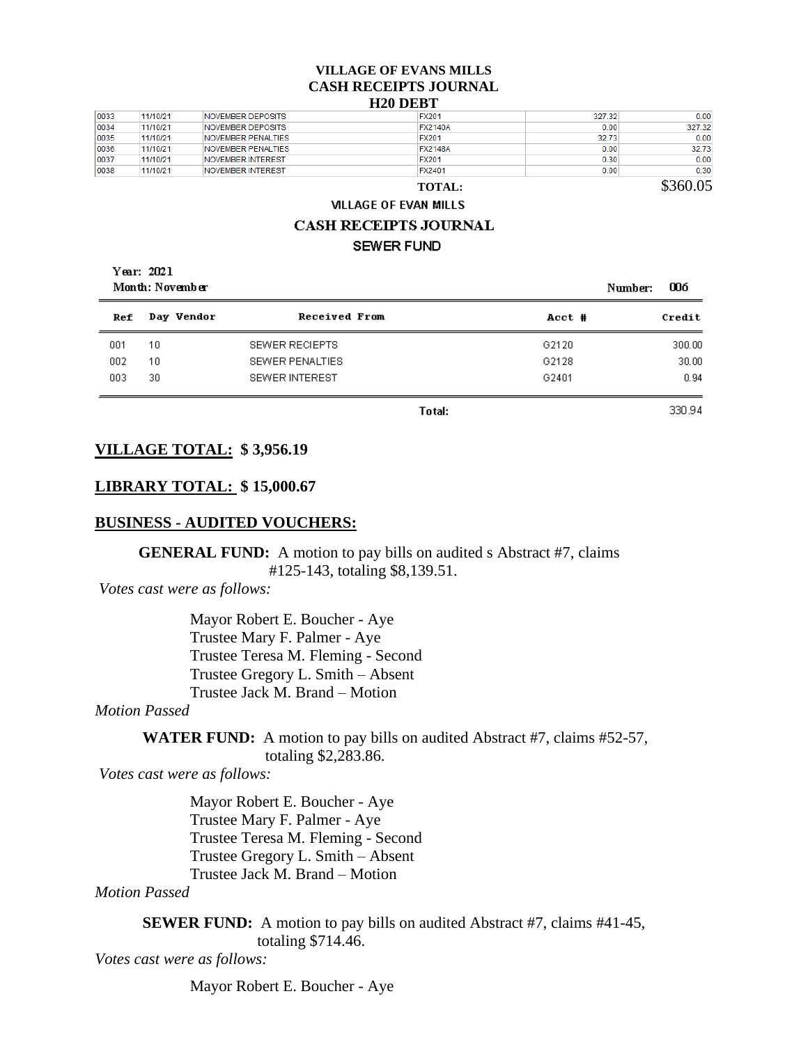#### **VILLAGE OF EVANS MILLS CASH RECEIPTS JOURNAL H20 DEBT**

| 0033 | 11/10/21 | <b>NOVEMBER DEPOSITS</b>  | <b>FX201</b>   | 327.32 | 0.00   |
|------|----------|---------------------------|----------------|--------|--------|
| 0034 | 11/10/21 | <b>NOVEMBER DEPOSITS</b>  | <b>FX2140A</b> | 0.00   | 327.32 |
| 0035 | 11/10/21 | <b>NOVEMBER PENALTIES</b> | <b>FX201</b>   | 32.73  | 0.00   |
| 0036 | 11/10/21 | <b>NOVEMBER PENALTIES</b> | <b>FX2148A</b> | 0.00   | 32.73  |
| 0037 | 11/10/21 | <b>NOVEMBER INTEREST</b>  | <b>FX201</b>   | 0.30   | 0.00   |
| 0038 | 11/10/21 | NOVEMBER INTEREST         | FX2401         | 0.00   | 0.30   |

**TOTAL:** \$360.05

#### **VILLAGE OF EVAN MILLS**

## **CASH RECEIPTS JOURNAL**

#### **SEWER FUND**

Year: 2021 Month: November

|     | Month: November |                       |        | 006<br>Number: |
|-----|-----------------|-----------------------|--------|----------------|
| Ref | Day Vendor      | Received From         | Acct # | Credit         |
| 001 | 10              | SEWER RECIEPTS        | G2120  | 300.00         |
| 002 | 10              | SEWER PENALTIES       | G2128  | 30.00          |
| 003 | 30              | <b>SEWER INTEREST</b> | G2401  | 0.94           |

Total:

330.94

#### **VILLAGE TOTAL: \$ 3,956.19**

#### **LIBRARY TOTAL: \$ 15,000.67**

#### **BUSINESS - AUDITED VOUCHERS:**

**GENERAL FUND:** A motion to pay bills on audited s Abstract #7, claims #125-143, totaling \$8,139.51.

*Votes cast were as follows:*

Mayor Robert E. Boucher - Aye Trustee Mary F. Palmer - Aye Trustee Teresa M. Fleming - Second Trustee Gregory L. Smith – Absent Trustee Jack M. Brand – Motion

*Motion Passed*

**WATER FUND:** A motion to pay bills on audited Abstract #7, claims #52-57, totaling \$2,283.86.

*Votes cast were as follows:*

Mayor Robert E. Boucher - Aye Trustee Mary F. Palmer - Aye Trustee Teresa M. Fleming - Second Trustee Gregory L. Smith – Absent Trustee Jack M. Brand – Motion

*Motion Passed*

**SEWER FUND:** A motion to pay bills on audited Abstract #7, claims #41-45, totaling \$714.46.

*Votes cast were as follows:*

Mayor Robert E. Boucher - Aye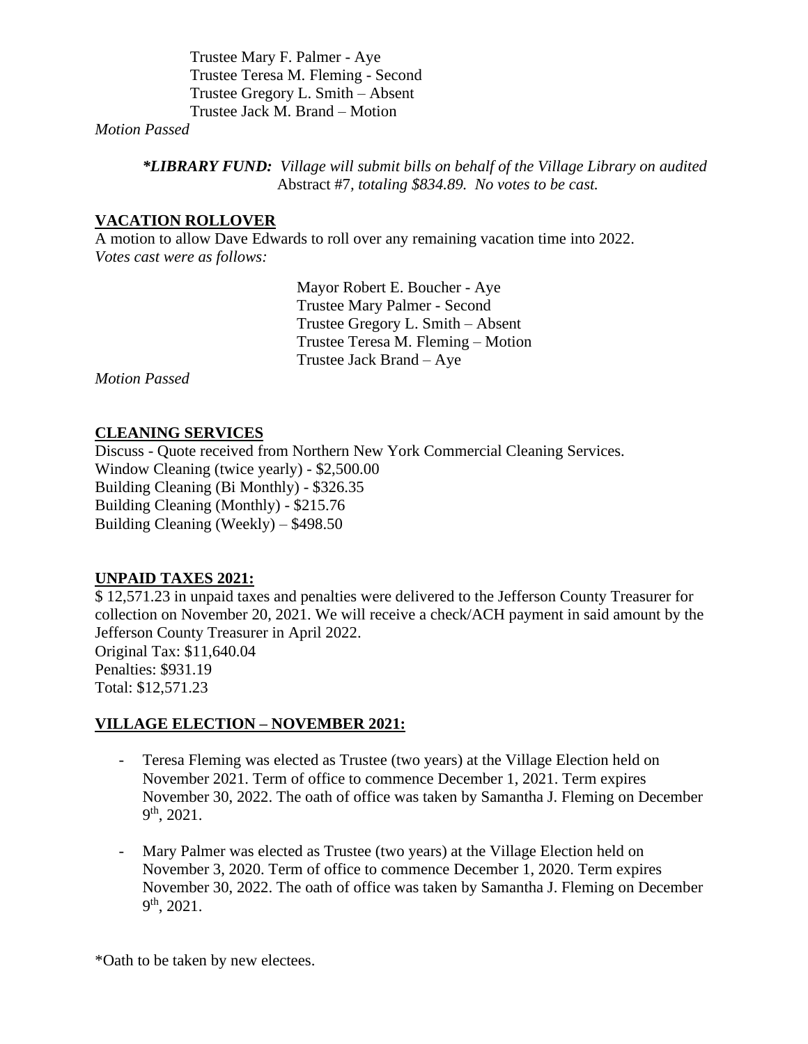Trustee Mary F. Palmer - Aye Trustee Teresa M. Fleming - Second Trustee Gregory L. Smith – Absent Trustee Jack M. Brand – Motion

## *Motion Passed*

*\*LIBRARY FUND: Village will submit bills on behalf of the Village Library on audited* Abstract #7*, totaling \$834.89. No votes to be cast.*

## **VACATION ROLLOVER**

A motion to allow Dave Edwards to roll over any remaining vacation time into 2022. *Votes cast were as follows:*

> Mayor Robert E. Boucher - Aye Trustee Mary Palmer - Second Trustee Gregory L. Smith – Absent Trustee Teresa M. Fleming – Motion Trustee Jack Brand – Aye

*Motion Passed*

## **CLEANING SERVICES**

Discuss - Quote received from Northern New York Commercial Cleaning Services. Window Cleaning (twice yearly) - \$2,500.00 Building Cleaning (Bi Monthly) - \$326.35 Building Cleaning (Monthly) - \$215.76 Building Cleaning (Weekly) – \$498.50

#### **UNPAID TAXES 2021:**

\$ 12,571.23 in unpaid taxes and penalties were delivered to the Jefferson County Treasurer for collection on November 20, 2021. We will receive a check/ACH payment in said amount by the Jefferson County Treasurer in April 2022. Original Tax: \$11,640.04 Penalties: \$931.19 Total: \$12,571.23

#### **VILLAGE ELECTION – NOVEMBER 2021:**

- Teresa Fleming was elected as Trustee (two years) at the Village Election held on November 2021. Term of office to commence December 1, 2021. Term expires November 30, 2022. The oath of office was taken by Samantha J. Fleming on December  $9<sup>th</sup>$ , 2021.
- Mary Palmer was elected as Trustee (two years) at the Village Election held on November 3, 2020. Term of office to commence December 1, 2020. Term expires November 30, 2022. The oath of office was taken by Samantha J. Fleming on December  $9<sup>th</sup>$ , 2021.

\*Oath to be taken by new electees.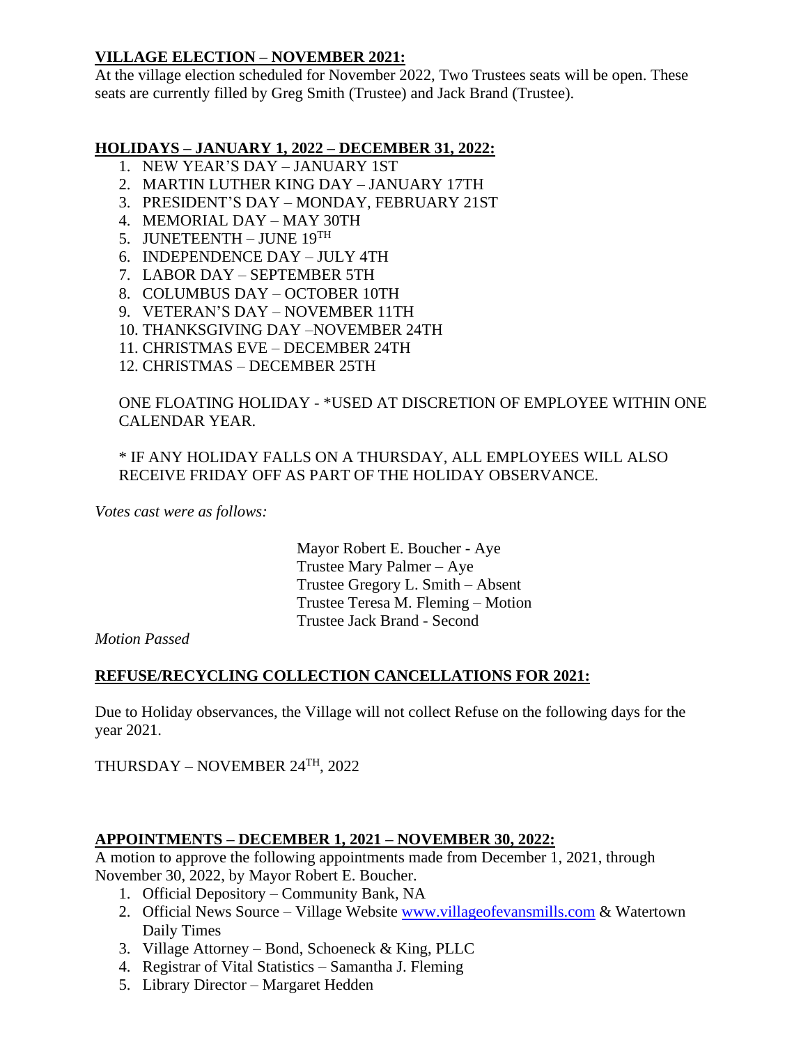# **VILLAGE ELECTION – NOVEMBER 2021:**

At the village election scheduled for November 2022, Two Trustees seats will be open. These seats are currently filled by Greg Smith (Trustee) and Jack Brand (Trustee).

# **HOLIDAYS – JANUARY 1, 2022 – DECEMBER 31, 2022:**

- 1. NEW YEAR'S DAY JANUARY 1ST
- 2. MARTIN LUTHER KING DAY JANUARY 17TH
- 3. PRESIDENT'S DAY MONDAY, FEBRUARY 21ST
- 4. MEMORIAL DAY MAY 30TH
- 5. JUNETEENTH JUNE  $19^{TH}$
- 6. INDEPENDENCE DAY JULY 4TH
- 7. LABOR DAY SEPTEMBER 5TH
- 8. COLUMBUS DAY OCTOBER 10TH
- 9. VETERAN'S DAY NOVEMBER 11TH
- 10. THANKSGIVING DAY –NOVEMBER 24TH
- 11. CHRISTMAS EVE DECEMBER 24TH
- 12. CHRISTMAS DECEMBER 25TH

## ONE FLOATING HOLIDAY - \*USED AT DISCRETION OF EMPLOYEE WITHIN ONE CALENDAR YEAR.

## \* IF ANY HOLIDAY FALLS ON A THURSDAY, ALL EMPLOYEES WILL ALSO RECEIVE FRIDAY OFF AS PART OF THE HOLIDAY OBSERVANCE.

*Votes cast were as follows:*

 Mayor Robert E. Boucher - Aye Trustee Mary Palmer – Aye Trustee Gregory L. Smith – Absent Trustee Teresa M. Fleming – Motion Trustee Jack Brand - Second

*Motion Passed*

## **REFUSE/RECYCLING COLLECTION CANCELLATIONS FOR 2021:**

Due to Holiday observances, the Village will not collect Refuse on the following days for the year 2021.

THURSDAY – NOVEMBER 24TH, 2022

## **APPOINTMENTS – DECEMBER 1, 2021 – NOVEMBER 30, 2022:**

A motion to approve the following appointments made from December 1, 2021, through November 30, 2022, by Mayor Robert E. Boucher.

- 1. Official Depository Community Bank, NA
- 2. Official News Source Village Website [www.villageofevansmills.com](http://www.villageofevansmills.com/) & Watertown Daily Times
- 3. Village Attorney Bond, Schoeneck & King, PLLC
- 4. Registrar of Vital Statistics Samantha J. Fleming
- 5. Library Director Margaret Hedden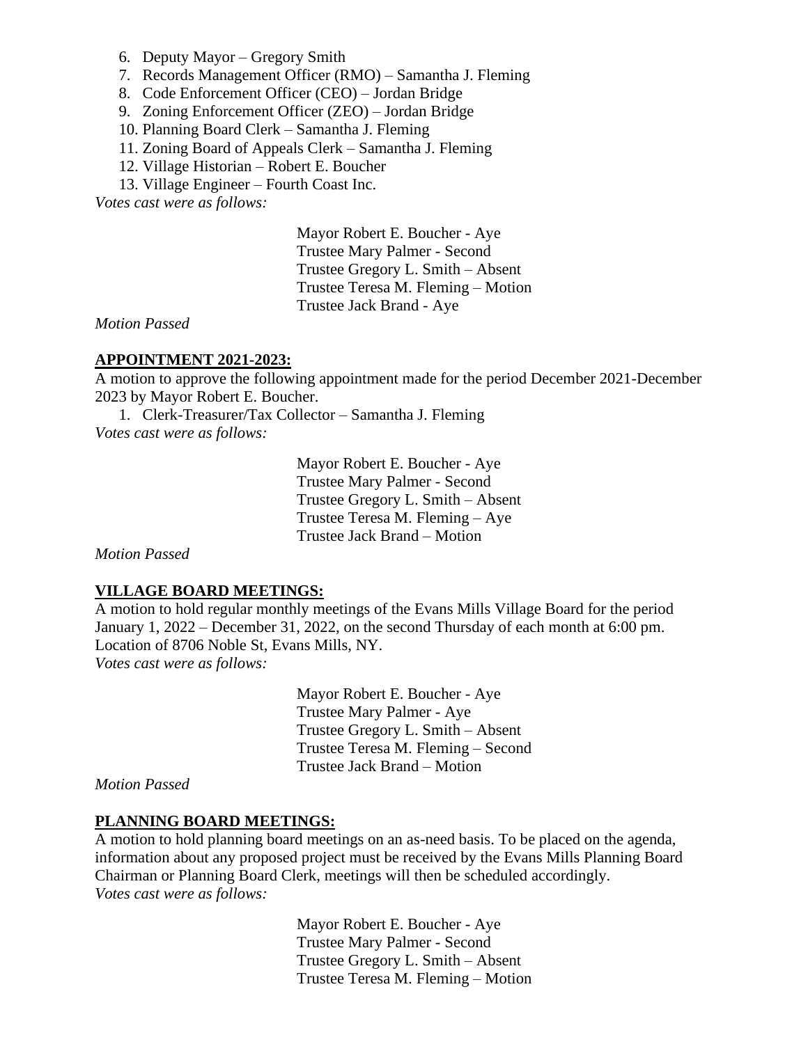- 6. Deputy Mayor Gregory Smith
- 7. Records Management Officer (RMO) Samantha J. Fleming
- 8. Code Enforcement Officer (CEO) Jordan Bridge
- 9. Zoning Enforcement Officer (ZEO) Jordan Bridge
- 10. Planning Board Clerk Samantha J. Fleming
- 11. Zoning Board of Appeals Clerk Samantha J. Fleming
- 12. Village Historian Robert E. Boucher
- 13. Village Engineer Fourth Coast Inc.

*Votes cast were as follows:*

 Mayor Robert E. Boucher - Aye Trustee Mary Palmer - Second Trustee Gregory L. Smith – Absent Trustee Teresa M. Fleming – Motion Trustee Jack Brand - Aye

#### *Motion Passed*

#### **APPOINTMENT 2021-2023:**

A motion to approve the following appointment made for the period December 2021-December 2023 by Mayor Robert E. Boucher.

1. Clerk-Treasurer/Tax Collector – Samantha J. Fleming *Votes cast were as follows:*

> Mayor Robert E. Boucher - Aye Trustee Mary Palmer - Second Trustee Gregory L. Smith – Absent Trustee Teresa M. Fleming – Aye Trustee Jack Brand – Motion

*Motion Passed*

#### **VILLAGE BOARD MEETINGS:**

A motion to hold regular monthly meetings of the Evans Mills Village Board for the period January 1, 2022 – December 31, 2022, on the second Thursday of each month at 6:00 pm. Location of 8706 Noble St, Evans Mills, NY. *Votes cast were as follows:*

> Mayor Robert E. Boucher - Aye Trustee Mary Palmer - Aye Trustee Gregory L. Smith – Absent Trustee Teresa M. Fleming – Second Trustee Jack Brand – Motion

*Motion Passed*

#### **PLANNING BOARD MEETINGS:**

A motion to hold planning board meetings on an as-need basis. To be placed on the agenda, information about any proposed project must be received by the Evans Mills Planning Board Chairman or Planning Board Clerk, meetings will then be scheduled accordingly. *Votes cast were as follows:*

> Mayor Robert E. Boucher - Aye Trustee Mary Palmer - Second Trustee Gregory L. Smith – Absent Trustee Teresa M. Fleming – Motion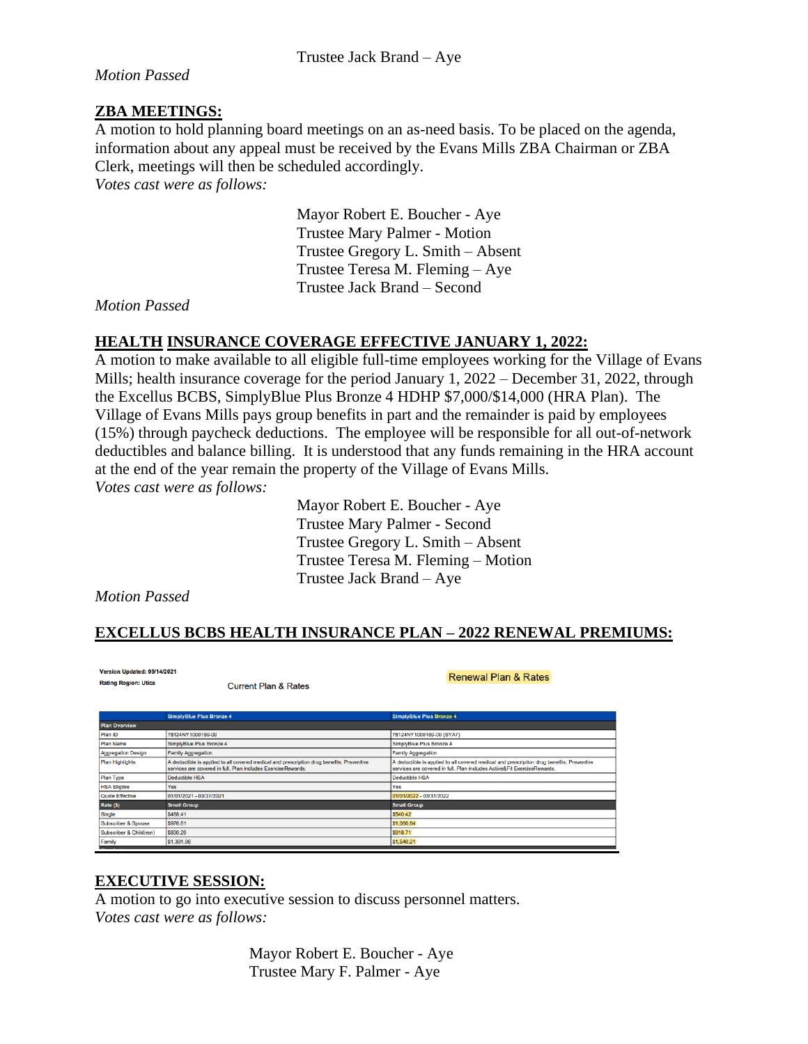*Motion Passed*

## **ZBA MEETINGS:**

A motion to hold planning board meetings on an as-need basis. To be placed on the agenda, information about any appeal must be received by the Evans Mills ZBA Chairman or ZBA Clerk, meetings will then be scheduled accordingly.

*Votes cast were as follows:*

 Mayor Robert E. Boucher - Aye Trustee Mary Palmer - Motion Trustee Gregory L. Smith – Absent Trustee Teresa M. Fleming – Aye Trustee Jack Brand – Second

*Motion Passed*

# **HEALTH INSURANCE COVERAGE EFFECTIVE JANUARY 1, 2022:**

A motion to make available to all eligible full-time employees working for the Village of Evans Mills; health insurance coverage for the period January 1, 2022 – December 31, 2022, through the Excellus BCBS, SimplyBlue Plus Bronze 4 HDHP \$7,000/\$14,000 (HRA Plan). The Village of Evans Mills pays group benefits in part and the remainder is paid by employees (15%) through paycheck deductions. The employee will be responsible for all out-of-network deductibles and balance billing. It is understood that any funds remaining in the HRA account at the end of the year remain the property of the Village of Evans Mills. *Votes cast were as follows:* 

> Mayor Robert E. Boucher - Aye Trustee Mary Palmer - Second Trustee Gregory L. Smith – Absent Trustee Teresa M. Fleming – Motion Trustee Jack Brand – Aye

> > **Renewal Plan & Rates**

*Motion Passed*

Version Updated: 09/14/2021

## **EXCELLUS BCBS HEALTH INSURANCE PLAN – 2022 RENEWAL PREMIUMS:**

| <b>Rating Region: Utica</b> | <b>Current Plan &amp; Rates</b>                                                                                                                           |                                                                                                                                                                      |
|-----------------------------|-----------------------------------------------------------------------------------------------------------------------------------------------------------|----------------------------------------------------------------------------------------------------------------------------------------------------------------------|
|                             |                                                                                                                                                           |                                                                                                                                                                      |
|                             | <b>SimplyBlue Plus Bronze 4</b>                                                                                                                           | <b>SimplyBlue Plus Bronze 4</b>                                                                                                                                      |
| <b>Plan Overview</b>        |                                                                                                                                                           |                                                                                                                                                                      |
| Plan ID                     | 78124NY1000169-00                                                                                                                                         | 78124NY1000169-00 (SYA7)                                                                                                                                             |
| Plan Name                   | SimplyBlue Plus Bronze 4                                                                                                                                  | SimplyBlue Plus Bronze 4                                                                                                                                             |
| <b>Aggregation Design</b>   | <b>Family Aggregation</b>                                                                                                                                 | <b>Family Aggregation</b>                                                                                                                                            |
| <b>Plan Highlights</b>      | A deductible is applied to all covered medical and prescription drug benefits. Preventive<br>services are covered in full. Plan includes ExerciseRewards. | A deductible is applied to all covered medical and prescription drug benefits. Preventive<br>services are covered in full. Plan includes Active&Fit ExerciseRewards. |
| Plan Type                   | Deductible HSA                                                                                                                                            | Deductible HSA                                                                                                                                                       |
| <b>HSA Eligible</b>         | Yes                                                                                                                                                       | Yes                                                                                                                                                                  |
| Quote Effective             | 01/01/2021 - 03/31/2021                                                                                                                                   | 01/01/2022 - 03/31/2022                                                                                                                                              |
| Rate (\$)                   | <b>Small Group</b>                                                                                                                                        | <b>Small Group</b>                                                                                                                                                   |
| Single                      | \$488.41                                                                                                                                                  | \$540.42                                                                                                                                                             |
| Subscriber & Spouse         | \$976.81                                                                                                                                                  | \$1,080.84                                                                                                                                                           |
| Subscriber & Child(ren)     | \$830.29                                                                                                                                                  | S918.71                                                                                                                                                              |
| Family                      | \$1,391.96                                                                                                                                                | \$1,540.21                                                                                                                                                           |

## **EXECUTIVE SESSION:**

A motion to go into executive session to discuss personnel matters. *Votes cast were as follows:*

> Mayor Robert E. Boucher - Aye Trustee Mary F. Palmer - Aye